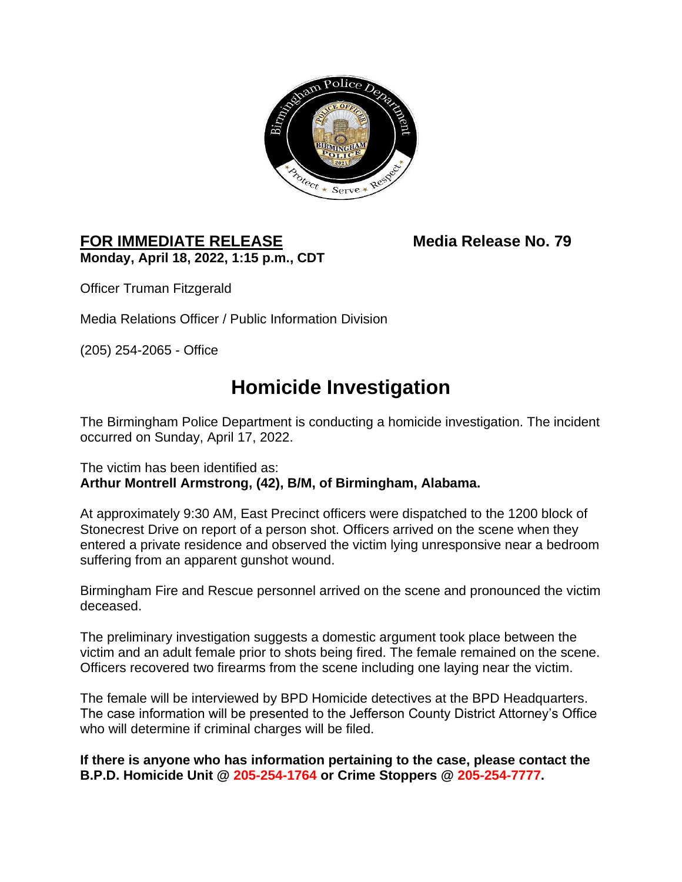

## FOR IMMEDIATE RELEASE Media Release No. 79 **Monday, April 18, 2022, 1:15 p.m., CDT**

Officer Truman Fitzgerald

Media Relations Officer / Public Information Division

(205) 254-2065 - Office

## **Homicide Investigation**

The Birmingham Police Department is conducting a homicide investigation. The incident occurred on Sunday, April 17, 2022.

## The victim has been identified as: **Arthur Montrell Armstrong, (42), B/M, of Birmingham, Alabama.**

At approximately 9:30 AM, East Precinct officers were dispatched to the 1200 block of Stonecrest Drive on report of a person shot. Officers arrived on the scene when they entered a private residence and observed the victim lying unresponsive near a bedroom suffering from an apparent gunshot wound.

Birmingham Fire and Rescue personnel arrived on the scene and pronounced the victim deceased.

The preliminary investigation suggests a domestic argument took place between the victim and an adult female prior to shots being fired. The female remained on the scene. Officers recovered two firearms from the scene including one laying near the victim.

The female will be interviewed by BPD Homicide detectives at the BPD Headquarters. The case information will be presented to the Jefferson County District Attorney's Office who will determine if criminal charges will be filed.

**If there is anyone who has information pertaining to the case, please contact the B.P.D. Homicide Unit @ 205-254-1764 or Crime Stoppers @ 205-254-7777.**